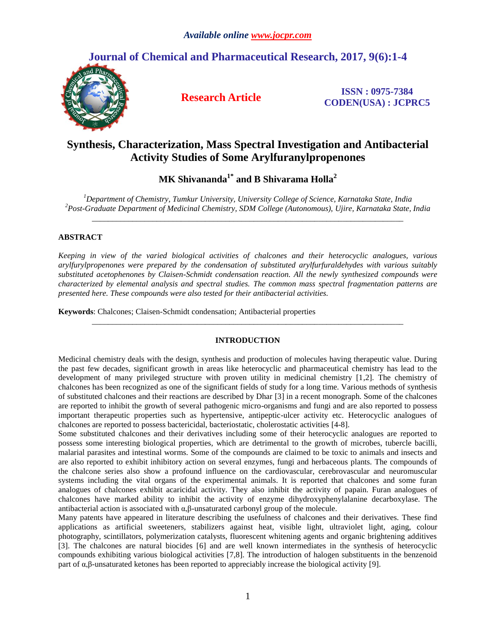# **Journal of Chemical and Pharmaceutical Research, 2017, 9(6):1-4**



**Research Article ISSN : 0975-7384 CODEN(USA) : JCPRC5**

# **Synthesis, Characterization, Mass Spectral Investigation and Antibacterial Activity Studies of Some Arylfuranylpropenones**

**MK Shivananda1\* and B Shivarama Holla<sup>2</sup>**

*<sup>1</sup>Department of Chemistry, Tumkur University, University College of Science, Karnataka State, India <sup>2</sup>Post-Graduate Department of Medicinal Chemistry, SDM College (Autonomous), Ujire, Karnataka State, India \_\_\_\_\_\_\_\_\_\_\_\_\_\_\_\_\_\_\_\_\_\_\_\_\_\_\_\_\_\_\_\_\_\_\_\_\_\_\_\_\_\_\_\_\_\_\_\_\_\_\_\_\_\_\_\_\_\_\_\_\_\_\_\_\_\_\_\_\_\_\_\_\_\_\_\_\_*

## **ABSTRACT**

*Keeping in view of the varied biological activities of chalcones and their heterocyclic analogues, various arylfurylpropenones were prepared by the condensation of substituted arylfurfuraldehydes with various suitably substituted acetophenones by Claisen-Schmidt condensation reaction. All the newly synthesized compounds were characterized by elemental analysis and spectral studies. The common mass spectral fragmentation patterns are presented here. These compounds were also tested for their antibacterial activities.* 

**Keywords**: Chalcones; Claisen-Schmidt condensation; Antibacterial properties

## **INTRODUCTION**

*\_\_\_\_\_\_\_\_\_\_\_\_\_\_\_\_\_\_\_\_\_\_\_\_\_\_\_\_\_\_\_\_\_\_\_\_\_\_\_\_\_\_\_\_\_\_\_\_\_\_\_\_\_\_\_\_\_\_\_\_\_\_\_\_\_\_\_\_\_\_\_\_\_\_\_\_\_*

Medicinal chemistry deals with the design, synthesis and production of molecules having therapeutic value. During the past few decades, significant growth in areas like heterocyclic and pharmaceutical chemistry has lead to the development of many privileged structure with proven utility in medicinal chemistry [1,2]. The chemistry of chalcones has been recognized as one of the significant fields of study for a long time. Various methods of synthesis of substituted chalcones and their reactions are described by Dhar [3] in a recent monograph. Some of the chalcones are reported to inhibit the growth of several pathogenic micro-organisms and fungi and are also reported to possess important therapeutic properties such as hypertensive, antipeptic-ulcer activity etc. Heterocyclic analogues of chalcones are reported to possess bactericidal, bacteriostatic, cholerostatic activities [4-8].

Some substituted chalcones and their derivatives including some of their heterocyclic analogues are reported to possess some interesting biological properties, which are detrimental to the growth of microbes, tubercle bacilli, malarial parasites and intestinal worms. Some of the compounds are claimed to be toxic to animals and insects and are also reported to exhibit inhibitory action on several enzymes, fungi and herbaceous plants. The compounds of the chalcone series also show a profound influence on the cardiovascular, cerebrovascular and neuromuscular systems including the vital organs of the experimental animals. It is reported that chalcones and some furan analogues of chalcones exhibit acaricidal activity. They also inhibit the activity of papain. Furan analogues of chalcones have marked ability to inhibit the activity of enzyme dihydroxyphenylalanine decarboxylase. The antibacterial action is associated with α,β-unsaturated carbonyl group of the molecule.

Many patents have appeared in literature describing the usefulness of chalcones and their derivatives. These find applications as artificial sweeteners, stabilizers against heat, visible light, ultraviolet light, aging, colour photography, scintillators, polymerization catalysts, fluorescent whitening agents and organic brightening additives [3]. The chalcones are natural biocides [6] and are well known intermediates in the synthesis of heterocyclic compounds exhibiting various biological activities [7,8]. The introduction of halogen substituents in the benzenoid part of  $\alpha$ ,β-unsaturated ketones has been reported to appreciably increase the biological activity [9].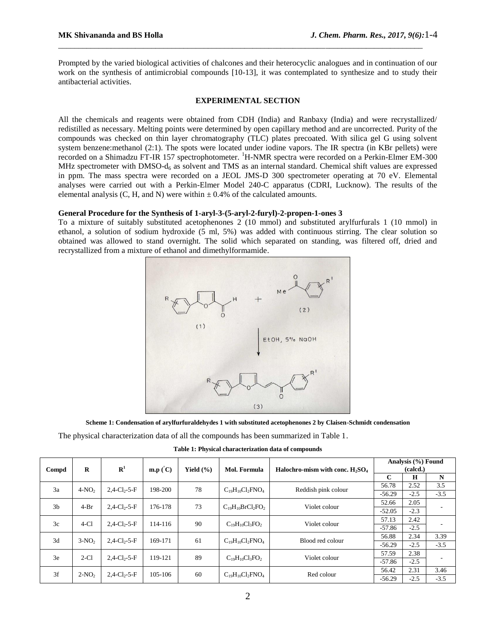Prompted by the varied biological activities of chalcones and their heterocyclic analogues and in continuation of our work on the synthesis of antimicrobial compounds [10-13], it was contemplated to synthesize and to study their antibacterial activities.

\_\_\_\_\_\_\_\_\_\_\_\_\_\_\_\_\_\_\_\_\_\_\_\_\_\_\_\_\_\_\_\_\_\_\_\_\_\_\_\_\_\_\_\_\_\_\_\_\_\_\_\_\_\_\_\_\_\_\_\_\_\_\_\_\_\_\_\_\_\_\_\_\_\_\_\_\_\_\_\_\_\_\_\_\_\_\_\_\_\_

### **EXPERIMENTAL SECTION**

All the chemicals and reagents were obtained from CDH (India) and Ranbaxy (India) and were recrystallized/ redistilled as necessary. Melting points were determined by open capillary method and are uncorrected. Purity of the compounds was checked on thin layer chromatography (TLC) plates precoated. With silica gel G using solvent system benzene:methanol (2:1). The spots were located under iodine vapors. The IR spectra (in KBr pellets) were recorded on a Shimadzu FT-IR 157 spectrophotometer. <sup>1</sup>H-NMR spectra were recorded on a Perkin-Elmer EM-300 MHz spectrometer with DMSO-d<sub>6</sub> as solvent and TMS as an internal standard. Chemical shift values are expressed in ppm. The mass spectra were recorded on a JEOL JMS-D 300 spectrometer operating at 70 eV. Elemental analyses were carried out with a Perkin-Elmer Model 240-C apparatus (CDRI, Lucknow). The results of the elemental analysis (C, H, and N) were within  $\pm$  0.4% of the calculated amounts.

### **General Procedure for the Synthesis of 1-aryl-3-(5-aryl-2-furyl)-2-propen-1-ones 3**

To a mixture of suitably substituted acetophenones 2 (10 mmol) and substituted arylfurfurals 1 (10 mmol) in ethanol, a solution of sodium hydroxide (5 ml, 5%) was added with continuous stirring. The clear solution so obtained was allowed to stand overnight. The solid which separated on standing, was filtered off, dried and recrystallized from a mixture of ethanol and dimethylformamide.



**Scheme 1: Condensation of arylfurfuraldehydes 1 with substituted acetophenones 2 by Claisen-Schmidt condensation**

The physical characterization data of all the compounds has been summarized in Table 1.

**Table 1: Physical characterization data of compounds**

| Compd          | $\bf{R}$ | $\mathbf{R}^1$              | $\mathbf{m}.\mathbf{p}(\mathbf{C})$ | Yield $(\% )$ | Mol. Formula            | Halochro-mism with conc. $H_2SO_4$ | Analysis (%) Found<br>(calcd.) |        |        |
|----------------|----------|-----------------------------|-------------------------------------|---------------|-------------------------|------------------------------------|--------------------------------|--------|--------|
|                |          |                             |                                     |               |                         |                                    | $\mathbf{C}$                   | H      | N      |
| 3a             | $4-NO2$  | $2,4$ -Cl <sub>2</sub> -5-F | 198-200                             | 78            | $C_{19}H_{10}Cl_2FNO_4$ | Reddish pink colour                | 56.78                          | 2.52   | 3.5    |
|                |          |                             |                                     |               |                         |                                    | $-56.29$                       | $-2.5$ | $-3.5$ |
| 3 <sub>b</sub> | $4-Br$   | $2,4$ -Cl <sub>2</sub> -5-F | 176-178                             | 73            | $C_{19}H_{10}BrCl2FO2$  | Violet colour                      | 52.66                          | 2.05   |        |
|                |          |                             |                                     |               |                         |                                    | $-52.05$                       | $-2.3$ |        |
| 3c             | $4-C1$   | $2,4$ -Cl <sub>2</sub> -5-F | 114-116                             | 90            | $C_{19}H_{10}Cl_3FO_2$  | Violet colour                      | 57.13                          | 2.42   |        |
|                |          |                             |                                     |               |                         |                                    | $-57.86$                       | $-2.5$ |        |
| 3d             | $3-NO2$  | $2,4$ -Cl <sub>2</sub> -5-F | 169-171                             | 61            |                         | Blood red colour                   | 56.88                          | 2.34   | 3.39   |
|                |          |                             |                                     |               | $C_{19}H_{10}Cl_2FNO_4$ |                                    | $-56.29$                       | $-2.5$ | $-3.5$ |
| 3e             | $2-C1$   | $2,4$ -Cl <sub>2</sub> -5-F | 119-121                             | 89            | $C_{19}H_{10}Cl_3FO_2$  | Violet colour                      | 57.59                          | 2.38   |        |
|                |          |                             |                                     |               |                         |                                    | $-57.86$                       | $-2.5$ |        |
| 3f             | $2-NO2$  | $2,4$ -Cl <sub>2</sub> -5-F | 105-106                             | 60            | $C_{19}H_{10}Cl_2FNO_4$ | Red colour                         | 56.42                          | 2.31   | 3.46   |
|                |          |                             |                                     |               |                         |                                    | $-56.29$                       | $-2.5$ | $-3.5$ |

2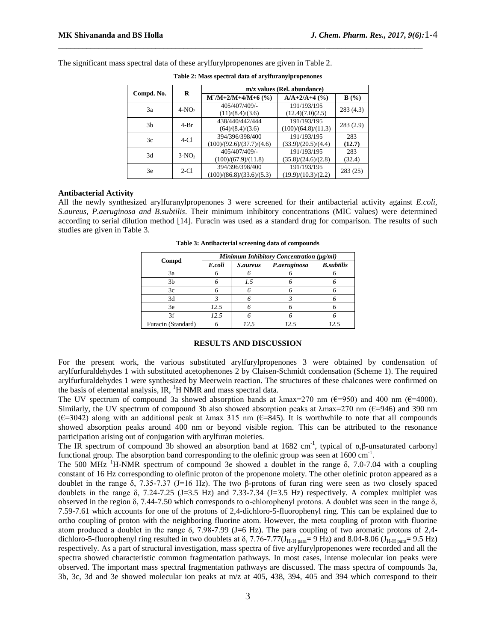|                | R       | m/z values (Rel. abundance)   |                     |          |  |  |
|----------------|---------|-------------------------------|---------------------|----------|--|--|
| Compd. No.     |         | $M^{\dagger}/M+2/M+4/M+6$ (%) | $A/A+2/A+4$ (%)     | B(%)     |  |  |
| 3a             | $4-NO2$ | 405/407/409/-                 | 191/193/195         | 283(4.3) |  |  |
|                |         | (11)/(8.4)/(3.6)              | (12.4)(7.0)(2.5)    |          |  |  |
| 3 <sub>b</sub> | $4-Br$  | 438/440/442/444               | 191/193/195         | 283(2.9) |  |  |
|                |         | (64)/(8.4)/(3.6)              | (100)/(64.8)/(11.3) |          |  |  |
| 3c             | $4-C1$  | 394/396/398/400               | 191/193/195         | 283      |  |  |
|                |         | (100)/(92.6)/(37.7)/(4.6)     | (33.9)/(20.5)/(4.4) | (12.7)   |  |  |
| 3d             | $3-NO2$ | 405/407/409/-                 | 191/193/195         | 283      |  |  |
|                |         | (100)/(67.9)/(11.8)           | (35.8)/(24.6)/(2.8) | (32.4)   |  |  |
| 3e             | $2-C1$  | 394/396/398/400               | 191/193/195         | 283 (25) |  |  |
|                |         | (100)/(86.8)/(33.6)/(5.3)     | (19.9)/(10.3)/(2.2) |          |  |  |

**Table 2: Mass spectral data of arylfuranylpropenones**

\_\_\_\_\_\_\_\_\_\_\_\_\_\_\_\_\_\_\_\_\_\_\_\_\_\_\_\_\_\_\_\_\_\_\_\_\_\_\_\_\_\_\_\_\_\_\_\_\_\_\_\_\_\_\_\_\_\_\_\_\_\_\_\_\_\_\_\_\_\_\_\_\_\_\_\_\_\_\_\_\_\_\_\_\_\_\_\_\_\_

The significant mass spectral data of these arylfurylpropenones are given in Table 2.

**Antibacterial Activity**

All the newly synthesized arylfuranylpropenones 3 were screened for their antibacterial activity against *E.coli, S.aureus, P.aeruginosa and B.subtilis*. Their minimum inhibitory concentrations (MIC values) were determined according to serial dilution method [14]. Furacin was used as a standard drug for comparison. The results of such studies are given in Table 3.

# **Table 3: Antibacterial screening data of compounds**

|                    | Minimum Inhibitory Concentration (µg/ml) |                 |              |                   |  |  |  |
|--------------------|------------------------------------------|-----------------|--------------|-------------------|--|--|--|
| Compd              | E.coli                                   | <i>S.aureus</i> | P.aeruginosa | <b>B.subtilis</b> |  |  |  |
| 3a                 |                                          |                 |              |                   |  |  |  |
| 3 <sub>b</sub>     |                                          | 1.5             |              |                   |  |  |  |
| 3c                 |                                          |                 |              |                   |  |  |  |
| 3d                 |                                          |                 |              |                   |  |  |  |
| 3e                 | 12.5                                     |                 |              |                   |  |  |  |
| ٦f                 | 12.5                                     |                 |              |                   |  |  |  |
| Furacin (Standard) |                                          | 12.5            | 12.5         | 12.               |  |  |  |

## **RESULTS AND DISCUSSION**

For the present work, the various substituted arylfurylpropenones 3 were obtained by condensation of arylfurfuraldehydes 1 with substituted acetophenones 2 by Claisen-Schmidt condensation (Scheme 1). The required arylfurfuraldehydes 1 were synthesized by Meerwein reaction. The structures of these chalcones were confirmed on the basis of elemental analysis, IR,  ${}^{1}$ H NMR and mass spectral data.

The UV spectrum of compound 3a showed absorption bands at  $\lambda$ max=270 nm ( $\epsilon$ =950) and 400 nm ( $\epsilon$ =4000). Similarly, the UV spectrum of compound 3b also showed absorption peaks at  $\lambda$ max=270 nm ( $\epsilon$ =946) and 390 nm  $(\epsilon=3042)$  along with an additional peak at  $\lambda$ max 315 nm  $(\epsilon=845)$ . It is worthwhile to note that all compounds showed absorption peaks around 400 nm or beyond visible region. This can be attributed to the resonance participation arising out of conjugation with arylfuran moieties.

The IR spectrum of compound 3b showed an absorption band at 1682 cm<sup>-1</sup>, typical of  $\alpha$ ,β-unsaturated carbonyl functional group. The absorption band corresponding to the olefinic group was seen at  $1600 \text{ cm}^{-1}$ .

The 500 MHz <sup>1</sup>H-NMR spectrum of compound 3e showed a doublet in the range  $\delta$ , 7.0-7.04 with a coupling constant of 16 Hz corresponding to olefinic proton of the propenone moiety. The other olefinic proton appeared as a doublet in the range δ, 7.35-7.37 (J=16 Hz). The two β-protons of furan ring were seen as two closely spaced doublets in the range  $\delta$ , 7.24-7.25 (J=3.5 Hz) and 7.33-7.34 (J=3.5 Hz) respectively. A complex multiplet was observed in the region δ, 7.44-7.50 which corresponds to o-chlorophenyl protons. A doublet was seen in the range δ, 7.59-7.61 which accounts for one of the protons of 2,4-dichloro-5-fluorophenyl ring. This can be explained due to ortho coupling of proton with the neighboring fluorine atom. However, the meta coupling of proton with fluorine atom produced a doublet in the range  $\delta$ , 7.98-7.99 (J=6 Hz). The para coupling of two aromatic protons of 2,4dichloro-5-fluorophenyl ring resulted in two doublets at  $\delta$ , 7.76-7.77(J<sub>H-H para</sub>= 9 Hz) and 8.04-8.06 (J<sub>H-H para</sub>= 9.5 Hz) respectively. As a part of structural investigation, mass spectra of five arylfurylpropenones were recorded and all the spectra showed characteristic common fragmentation pathways. In most cases, intense molecular ion peaks were observed. The important mass spectral fragmentation pathways are discussed. The mass spectra of compounds 3a, 3b, 3c, 3d and 3e showed molecular ion peaks at m/z at 405, 438, 394, 405 and 394 which correspond to their